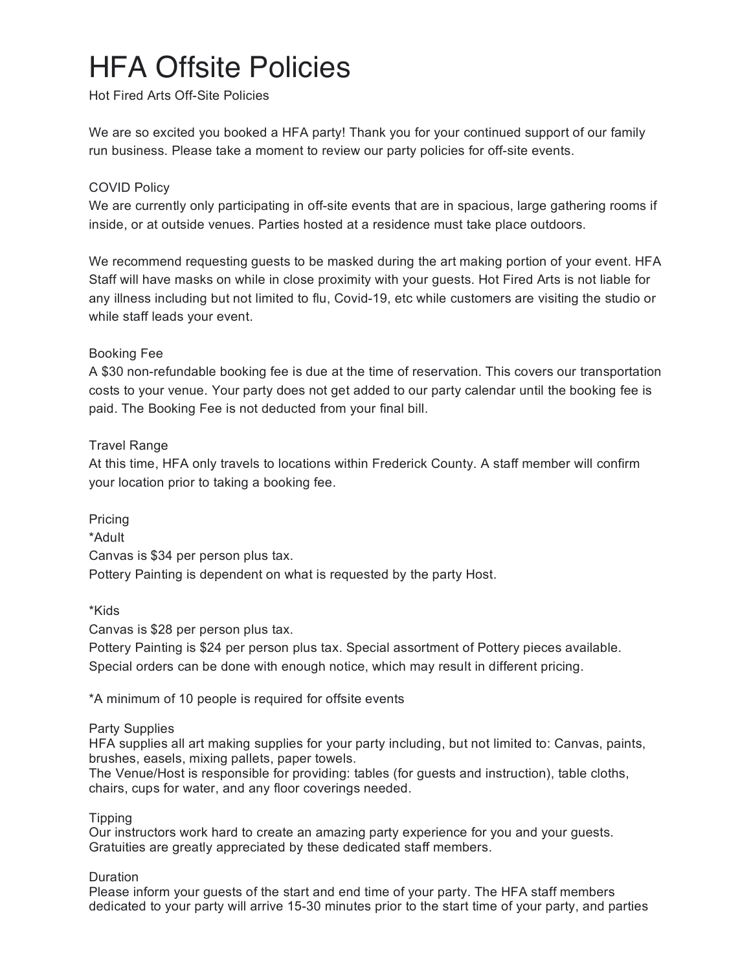# HFA Offsite Policies

Hot Fired Arts Off-Site Policies

We are so excited you booked a HFA party! Thank you for your continued support of our family run business. Please take a moment to review our party policies for off-site events.

# COVID Policy

We are currently only participating in off-site events that are in spacious, large gathering rooms if inside, or at outside venues. Parties hosted at a residence must take place outdoors.

We recommend requesting guests to be masked during the art making portion of your event. HFA Staff will have masks on while in close proximity with your guests. Hot Fired Arts is not liable for any illness including but not limited to flu, Covid-19, etc while customers are visiting the studio or while staff leads your event.

## Booking Fee

A \$30 non-refundable booking fee is due at the time of reservation. This covers our transportation costs to your venue. Your party does not get added to our party calendar until the booking fee is paid. The Booking Fee is not deducted from your final bill.

## Travel Range

At this time, HFA only travels to locations within Frederick County. A staff member will confirm your location prior to taking a booking fee.

Pricing \*Adult Canvas is \$34 per person plus tax. Pottery Painting is dependent on what is requested by the party Host.

\*Kids

Canvas is \$28 per person plus tax.

Pottery Painting is \$24 per person plus tax. Special assortment of Pottery pieces available. Special orders can be done with enough notice, which may result in different pricing.

\*A minimum of 10 people is required for offsite events

#### Party Supplies

HFA supplies all art making supplies for your party including, but not limited to: Canvas, paints, brushes, easels, mixing pallets, paper towels.

The Venue/Host is responsible for providing: tables (for guests and instruction), table cloths, chairs, cups for water, and any floor coverings needed.

#### **Tipping**

Our instructors work hard to create an amazing party experience for you and your guests. Gratuities are greatly appreciated by these dedicated staff members.

# Duration

Please inform your guests of the start and end time of your party. The HFA staff members dedicated to your party will arrive 15-30 minutes prior to the start time of your party, and parties